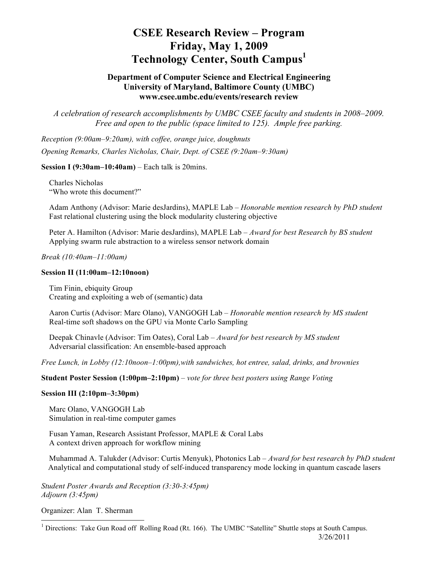# **CSEE Research Review – Program Friday, May 1, 2009 Technology Center, South Campus**<sup>1</sup>

# **Department of Computer Science and Electrical Engineering University of Maryland, Baltimore County (UMBC) www.csee.umbc.edu/events/research review**

*A celebration of research accomplishments by UMBC CSEE faculty and students in 2008–2009. Free and open to the public (space limited to 125). Ample free parking.*

*Reception (9:00am–9:20am), with coffee, orange juice, doughnuts Opening Remarks, Charles Nicholas, Chair, Dept. of CSEE (9:20am–9:30am)*

### **Session I (9:30am–10:40am)** – Each talk is 20mins.

 Charles Nicholas "Who wrote this document?"

 Adam Anthony (Advisor: Marie desJardins), MAPLE Lab – *Honorable mention research by PhD student* Fast relational clustering using the block modularity clustering objective

 Peter A. Hamilton (Advisor: Marie desJardins), MAPLE Lab – *Award for best Research by BS student* Applying swarm rule abstraction to a wireless sensor network domain

*Break (10:40am–11:00am)*

### **Session II (11:00am–12:10noon)**

 Tim Finin, ebiquity Group Creating and exploiting a web of (semantic) data

 Aaron Curtis (Advisor: Marc Olano), VANGOGH Lab – *Honorable mention research by MS student* Real-time soft shadows on the GPU via Monte Carlo Sampling

 Deepak Chinavle (Advisor: Tim Oates), Coral Lab – *Award for best research by MS student* Adversarial classification: An ensemble-based approach

*Free Lunch, in Lobby (12:10noon–1:00pm),with sandwiches, hot entree, salad, drinks, and brownies*

**Student Poster Session (1:00pm–2:10pm)** – *vote for three best posters using Range Voting*

### **Session III (2:10pm–3:30pm)**

 Marc Olano, VANGOGH Lab Simulation in real-time computer games

 Fusan Yaman, Research Assistant Professor, MAPLE & Coral Labs A context driven approach for workflow mining

 Muhammad A. Talukder (Advisor: Curtis Menyuk), Photonics Lab – *Award for best research by PhD student* Analytical and computational study of self-induced transparency mode locking in quantum cascade lasers

*Student Poster Awards and Reception (3:30-3:45pm) Adjourn (3:45pm)*

Organizer: Alan T. Sherman

 $\frac{1}{1}$ <sup>1</sup> Directions: Take Gun Road off Rolling Road (Rt. 166). The UMBC "Satellite" Shuttle stops at South Campus.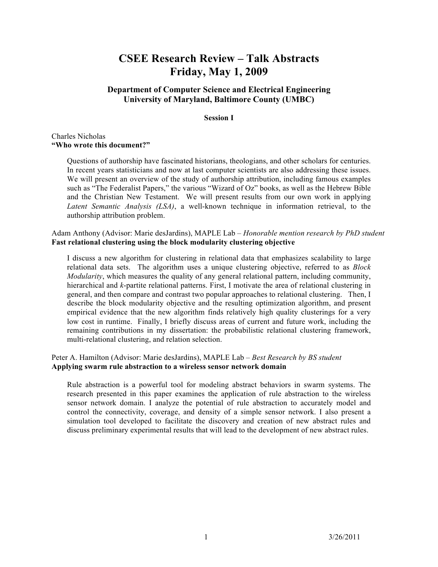# **CSEE Research Review – Talk Abstracts Friday, May 1, 2009**

# **Department of Computer Science and Electrical Engineering University of Maryland, Baltimore County (UMBC)**

### **Session I**

### Charles Nicholas **"Who wrote this document?"**

Questions of authorship have fascinated historians, theologians, and other scholars for centuries. In recent years statisticians and now at last computer scientists are also addressing these issues. We will present an overview of the study of authorship attribution, including famous examples such as "The Federalist Papers," the various "Wizard of Oz" books, as well as the Hebrew Bible and the Christian New Testament. We will present results from our own work in applying *Latent Semantic Analysis (LSA)*, a well-known technique in information retrieval, to the authorship attribution problem.

Adam Anthony (Advisor: Marie desJardins), MAPLE Lab – *Honorable mention research by PhD student* **Fast relational clustering using the block modularity clustering objective**

I discuss a new algorithm for clustering in relational data that emphasizes scalability to large relational data sets. The algorithm uses a unique clustering objective, referred to as *Block Modularity*, which measures the quality of any general relational pattern, including community, hierarchical and *k*-partite relational patterns. First, I motivate the area of relational clustering in general, and then compare and contrast two popular approaches to relational clustering. Then, I describe the block modularity objective and the resulting optimization algorithm, and present empirical evidence that the new algorithm finds relatively high quality clusterings for a very low cost in runtime. Finally, I briefly discuss areas of current and future work, including the remaining contributions in my dissertation: the probabilistic relational clustering framework, multi-relational clustering, and relation selection.

### Peter A. Hamilton (Advisor: Marie desJardins), MAPLE Lab – *Best Research by BS student* **Applying swarm rule abstraction to a wireless sensor network domain**

Rule abstraction is a powerful tool for modeling abstract behaviors in swarm systems. The research presented in this paper examines the application of rule abstraction to the wireless sensor network domain. I analyze the potential of rule abstraction to accurately model and control the connectivity, coverage, and density of a simple sensor network. I also present a simulation tool developed to facilitate the discovery and creation of new abstract rules and discuss preliminary experimental results that will lead to the development of new abstract rules.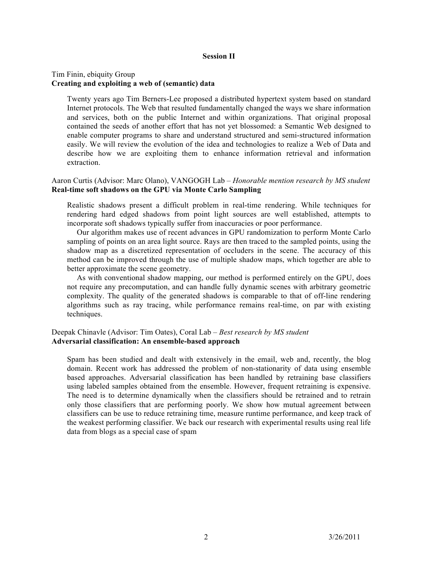#### **Session II**

### Tim Finin, ebiquity Group **Creating and exploiting a web of (semantic) data**

Twenty years ago Tim Berners-Lee proposed a distributed hypertext system based on standard Internet protocols. The Web that resulted fundamentally changed the ways we share information and services, both on the public Internet and within organizations. That original proposal contained the seeds of another effort that has not yet blossomed: a Semantic Web designed to enable computer programs to share and understand structured and semi-structured information easily. We will review the evolution of the idea and technologies to realize a Web of Data and describe how we are exploiting them to enhance information retrieval and information extraction.

### Aaron Curtis (Advisor: Marc Olano), VANGOGH Lab – *Honorable mention research by MS student* **Real-time soft shadows on the GPU via Monte Carlo Sampling**

Realistic shadows present a difficult problem in real-time rendering. While techniques for rendering hard edged shadows from point light sources are well established, attempts to incorporate soft shadows typically suffer from inaccuracies or poor performance.

 Our algorithm makes use of recent advances in GPU randomization to perform Monte Carlo sampling of points on an area light source. Rays are then traced to the sampled points, using the shadow map as a discretized representation of occluders in the scene. The accuracy of this method can be improved through the use of multiple shadow maps, which together are able to better approximate the scene geometry.

 As with conventional shadow mapping, our method is performed entirely on the GPU, does not require any precomputation, and can handle fully dynamic scenes with arbitrary geometric complexity. The quality of the generated shadows is comparable to that of off-line rendering algorithms such as ray tracing, while performance remains real-time, on par with existing techniques.

## Deepak Chinavle (Advisor: Tim Oates), Coral Lab – *Best research by MS student* **Adversarial classification: An ensemble-based approach**

Spam has been studied and dealt with extensively in the email, web and, recently, the blog domain. Recent work has addressed the problem of non-stationarity of data using ensemble based approaches. Adversarial classification has been handled by retraining base classifiers using labeled samples obtained from the ensemble. However, frequent retraining is expensive. The need is to determine dynamically when the classifiers should be retrained and to retrain only those classifiers that are performing poorly. We show how mutual agreement between classifiers can be use to reduce retraining time, measure runtime performance, and keep track of the weakest performing classifier. We back our research with experimental results using real life data from blogs as a special case of spam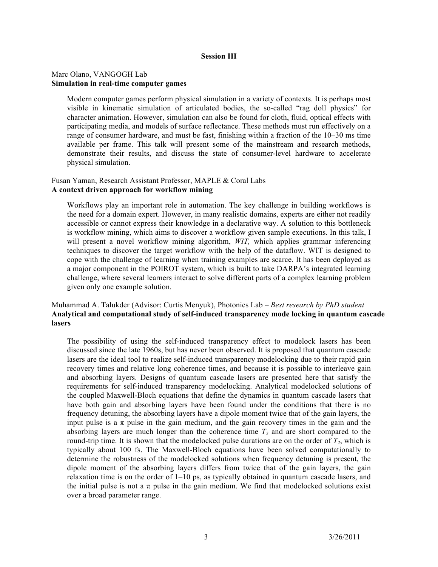#### **Session III**

### Marc Olano, VANGOGH Lab **Simulation in real-time computer games**

Modern computer games perform physical simulation in a variety of contexts. It is perhaps most visible in kinematic simulation of articulated bodies, the so-called "rag doll physics" for character animation. However, simulation can also be found for cloth, fluid, optical effects with participating media, and models of surface reflectance. These methods must run effectively on a range of consumer hardware, and must be fast, finishing within a fraction of the 10–30 ms time available per frame. This talk will present some of the mainstream and research methods, demonstrate their results, and discuss the state of consumer-level hardware to accelerate physical simulation.

#### Fusan Yaman, Research Assistant Professor, MAPLE & Coral Labs **A context driven approach for workflow mining**

Workflows play an important role in automation. The key challenge in building workflows is the need for a domain expert. However, in many realistic domains, experts are either not readily accessible or cannot express their knowledge in a declarative way. A solution to this bottleneck is workflow mining, which aims to discover a workflow given sample executions. In this talk, I will present a novel workflow mining algorithm, *WIT,* which applies grammar inferencing techniques to discover the target workflow with the help of the dataflow. WIT is designed to cope with the challenge of learning when training examples are scarce. It has been deployed as a major component in the POIROT system, which is built to take DARPA's integrated learning challenge, where several learners interact to solve different parts of a complex learning problem given only one example solution.

### Muhammad A. Talukder (Advisor: Curtis Menyuk), Photonics Lab – *Best research by PhD student* **Analytical and computational study of self-induced transparency mode locking in quantum cascade lasers**

The possibility of using the self-induced transparency effect to modelock lasers has been discussed since the late 1960s, but has never been observed. It is proposed that quantum cascade lasers are the ideal tool to realize self-induced transparency modelocking due to their rapid gain recovery times and relative long coherence times, and because it is possible to interleave gain and absorbing layers. Designs of quantum cascade lasers are presented here that satisfy the requirements for self-induced transparency modelocking. Analytical modelocked solutions of the coupled Maxwell-Bloch equations that define the dynamics in quantum cascade lasers that have both gain and absorbing layers have been found under the conditions that there is no frequency detuning, the absorbing layers have a dipole moment twice that of the gain layers, the input pulse is a  $\pi$  pulse in the gain medium, and the gain recovery times in the gain and the absorbing layers are much longer than the coherence time  $T_2$  and are short compared to the round-trip time. It is shown that the modelocked pulse durations are on the order of  $T_2$ , which is typically about 100 fs. The Maxwell-Bloch equations have been solved computationally to determine the robustness of the modelocked solutions when frequency detuning is present, the dipole moment of the absorbing layers differs from twice that of the gain layers, the gain relaxation time is on the order of 1–10 ps, as typically obtained in quantum cascade lasers, and the initial pulse is not a  $\pi$  pulse in the gain medium. We find that modelocked solutions exist over a broad parameter range.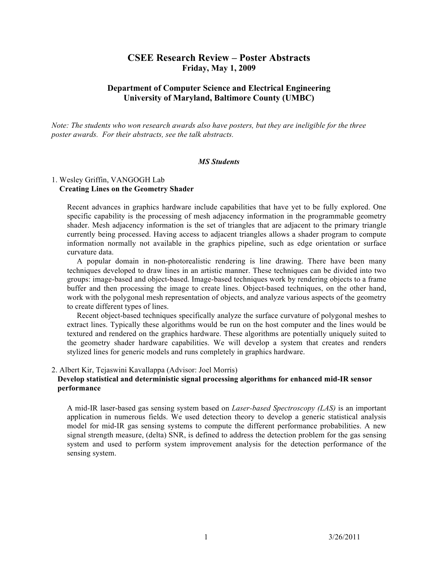# **CSEE Research Review – Poster Abstracts Friday, May 1, 2009**

# **Department of Computer Science and Electrical Engineering University of Maryland, Baltimore County (UMBC)**

*Note: The students who won research awards also have posters, but they are ineligible for the three poster awards. For their abstracts, see the talk abstracts.*

### *MS Students*

### 1. Wesley Griffin, VANGOGH Lab  **Creating Lines on the Geometry Shader**

Recent advances in graphics hardware include capabilities that have yet to be fully explored. One specific capability is the processing of mesh adjacency information in the programmable geometry shader. Mesh adjacency information is the set of triangles that are adjacent to the primary triangle currently being processed. Having access to adjacent triangles allows a shader program to compute information normally not available in the graphics pipeline, such as edge orientation or surface curvature data.

 A popular domain in non-photorealistic rendering is line drawing. There have been many techniques developed to draw lines in an artistic manner. These techniques can be divided into two groups: image-based and object-based. Image-based techniques work by rendering objects to a frame buffer and then processing the image to create lines. Object-based techniques, on the other hand, work with the polygonal mesh representation of objects, and analyze various aspects of the geometry to create different types of lines.

 Recent object-based techniques specifically analyze the surface curvature of polygonal meshes to extract lines. Typically these algorithms would be run on the host computer and the lines would be textured and rendered on the graphics hardware. These algorithms are potentially uniquely suited to the geometry shader hardware capabilities. We will develop a system that creates and renders stylized lines for generic models and runs completely in graphics hardware.

### 2. Albert Kir, Tejaswini Kavallappa (Advisor: Joel Morris)

### **Develop statistical and deterministic signal processing algorithms for enhanced mid-IR sensor performance**

A mid-IR laser-based gas sensing system based on *Laser-based Spectroscopy (LAS)* is an important application in numerous fields. We used detection theory to develop a generic statistical analysis model for mid-IR gas sensing systems to compute the different performance probabilities. A new signal strength measure, (delta) SNR, is defined to address the detection problem for the gas sensing system and used to perform system improvement analysis for the detection performance of the sensing system.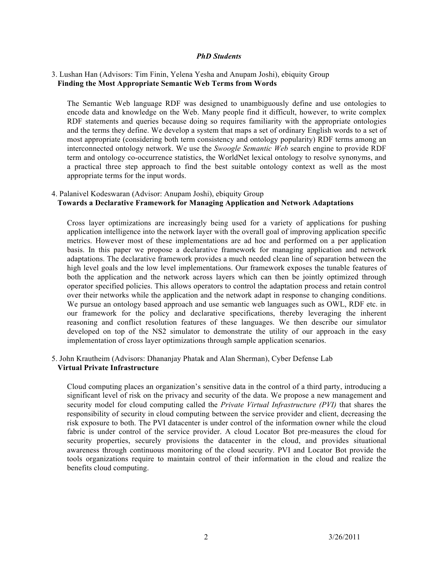#### *PhD Students*

### 3. Lushan Han (Advisors: Tim Finin, Yelena Yesha and Anupam Joshi), ebiquity Group  **Finding the Most Appropriate Semantic Web Terms from Words**

The Semantic Web language RDF was designed to unambiguously define and use ontologies to encode data and knowledge on the Web. Many people find it difficult, however, to write complex RDF statements and queries because doing so requires familiarity with the appropriate ontologies and the terms they define. We develop a system that maps a set of ordinary English words to a set of most appropriate (considering both term consistency and ontology popularity) RDF terms among an interconnected ontology network. We use the *Swoogle Semantic Web* search engine to provide RDF term and ontology co-occurrence statistics, the WorldNet lexical ontology to resolve synonyms, and a practical three step approach to find the best suitable ontology context as well as the most appropriate terms for the input words.

### 4. Palanivel Kodeswaran (Advisor: Anupam Joshi), ebiquity Group  **Towards a Declarative Framework for Managing Application and Network Adaptations**

Cross layer optimizations are increasingly being used for a variety of applications for pushing application intelligence into the network layer with the overall goal of improving application specific metrics. However most of these implementations are ad hoc and performed on a per application basis. In this paper we propose a declarative framework for managing application and network adaptations. The declarative framework provides a much needed clean line of separation between the high level goals and the low level implementations. Our framework exposes the tunable features of both the application and the network across layers which can then be jointly optimized through operator specified policies. This allows operators to control the adaptation process and retain control over their networks while the application and the network adapt in response to changing conditions. We pursue an ontology based approach and use semantic web languages such as OWL, RDF etc. in our framework for the policy and declarative specifications, thereby leveraging the inherent reasoning and conflict resolution features of these languages. We then describe our simulator developed on top of the NS2 simulator to demonstrate the utility of our approach in the easy implementation of cross layer optimizations through sample application scenarios.

5. John Krautheim (Advisors: Dhananjay Phatak and Alan Sherman), Cyber Defense Lab  **Virtual Private Infrastructure**

Cloud computing places an organization's sensitive data in the control of a third party, introducing a significant level of risk on the privacy and security of the data. We propose a new management and security model for cloud computing called the *Private Virtual Infrastructure (PVI)* that shares the responsibility of security in cloud computing between the service provider and client, decreasing the risk exposure to both. The PVI datacenter is under control of the information owner while the cloud fabric is under control of the service provider. A cloud Locator Bot pre-measures the cloud for security properties, securely provisions the datacenter in the cloud, and provides situational awareness through continuous monitoring of the cloud security. PVI and Locator Bot provide the tools organizations require to maintain control of their information in the cloud and realize the benefits cloud computing.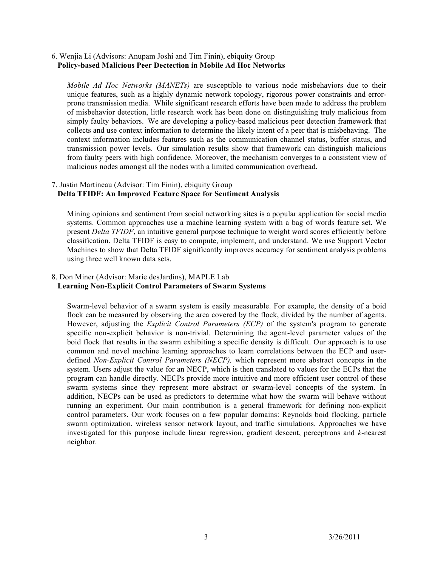### 6. Wenjia Li (Advisors: Anupam Joshi and Tim Finin), ebiquity Group **Policy-based Malicious Peer Dectection in Mobile Ad Hoc Networks**

*Mobile Ad Hoc Networks (MANETs)* are susceptible to various node misbehaviors due to their unique features, such as a highly dynamic network topology, rigorous power constraints and errorprone transmission media. While significant research efforts have been made to address the problem of misbehavior detection, little research work has been done on distinguishing truly malicious from simply faulty behaviors. We are developing a policy-based malicious peer detection framework that collects and use context information to determine the likely intent of a peer that is misbehaving. The context information includes features such as the communication channel status, buffer status, and transmission power levels. Our simulation results show that framework can distinguish malicious from faulty peers with high confidence. Moreover, the mechanism converges to a consistent view of malicious nodes amongst all the nodes with a limited communication overhead.

#### 7. Justin Martineau (Advisor: Tim Finin), ebiquity Group **Delta TFIDF: An Improved Feature Space for Sentiment Analysis**

Mining opinions and sentiment from social networking sites is a popular application for social media systems. Common approaches use a machine learning system with a bag of words feature set. We present *Delta TFIDF*, an intuitive general purpose technique to weight word scores efficiently before classification. Delta TFIDF is easy to compute, implement, and understand. We use Support Vector Machines to show that Delta TFIDF significantly improves accuracy for sentiment analysis problems using three well known data sets.

### 8. Don Miner (Advisor: Marie desJardins), MAPLE Lab **Learning Non-Explicit Control Parameters of Swarm Systems**

Swarm-level behavior of a swarm system is easily measurable. For example, the density of a boid flock can be measured by observing the area covered by the flock, divided by the number of agents. However, adjusting the *Explicit Control Parameters (ECP)* of the system's program to generate specific non-explicit behavior is non-trivial. Determining the agent-level parameter values of the boid flock that results in the swarm exhibiting a specific density is difficult. Our approach is to use common and novel machine learning approaches to learn correlations between the ECP and userdefined *Non-Explicit Control Parameters (NECP),* which represent more abstract concepts in the system. Users adjust the value for an NECP, which is then translated to values for the ECPs that the program can handle directly. NECPs provide more intuitive and more efficient user control of these swarm systems since they represent more abstract or swarm-level concepts of the system. In addition, NECPs can be used as predictors to determine what how the swarm will behave without running an experiment. Our main contribution is a general framework for defining non-explicit control parameters. Our work focuses on a few popular domains: Reynolds boid flocking, particle swarm optimization, wireless sensor network layout, and traffic simulations. Approaches we have investigated for this purpose include linear regression, gradient descent, perceptrons and *k*-nearest neighbor.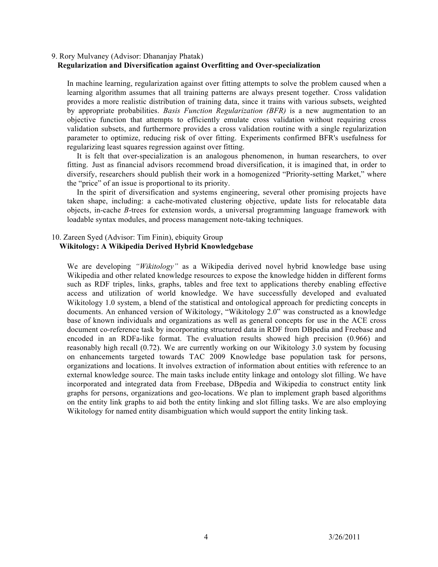### 9. Rory Mulvaney (Advisor: Dhananjay Phatak) **Regularization and Diversification against Overfitting and Over-specialization**

In machine learning, regularization against over fitting attempts to solve the problem caused when a learning algorithm assumes that all training patterns are always present together. Cross validation provides a more realistic distribution of training data, since it trains with various subsets, weighted by appropriate probabilities. *Basis Function Regularization (BFR)* is a new augmentation to an objective function that attempts to efficiently emulate cross validation without requiring cross validation subsets, and furthermore provides a cross validation routine with a single regularization parameter to optimize, reducing risk of over fitting. Experiments confirmed BFR's usefulness for regularizing least squares regression against over fitting.

 It is felt that over-specialization is an analogous phenomenon, in human researchers, to over fitting. Just as financial advisors recommend broad diversification, it is imagined that, in order to diversify, researchers should publish their work in a homogenized "Priority-setting Market," where the "price" of an issue is proportional to its priority.

 In the spirit of diversification and systems engineering, several other promising projects have taken shape, including: a cache-motivated clustering objective, update lists for relocatable data objects, in-cache *B*-trees for extension words, a universal programming language framework with loadable syntax modules, and process management note-taking techniques.

## 10. Zareen Syed (Advisor: Tim Finin), ebiquity Group

### **Wikitology: A Wikipedia Derived Hybrid Knowledgebase**

We are developing *"Wikitology"* as a Wikipedia derived novel hybrid knowledge base using Wikipedia and other related knowledge resources to expose the knowledge hidden in different forms such as RDF triples, links, graphs, tables and free text to applications thereby enabling effective access and utilization of world knowledge. We have successfully developed and evaluated Wikitology 1.0 system, a blend of the statistical and ontological approach for predicting concepts in documents. An enhanced version of Wikitology, "Wikitology 2.0" was constructed as a knowledge base of known individuals and organizations as well as general concepts for use in the ACE cross document co-reference task by incorporating structured data in RDF from DBpedia and Freebase and encoded in an RDFa-like format. The evaluation results showed high precision (0.966) and reasonably high recall (0.72). We are currently working on our Wikitology 3.0 system by focusing on enhancements targeted towards TAC 2009 Knowledge base population task for persons, organizations and locations. It involves extraction of information about entities with reference to an external knowledge source. The main tasks include entity linkage and ontology slot filling. We have incorporated and integrated data from Freebase, DBpedia and Wikipedia to construct entity link graphs for persons, organizations and geo-locations. We plan to implement graph based algorithms on the entity link graphs to aid both the entity linking and slot filling tasks. We are also employing Wikitology for named entity disambiguation which would support the entity linking task.